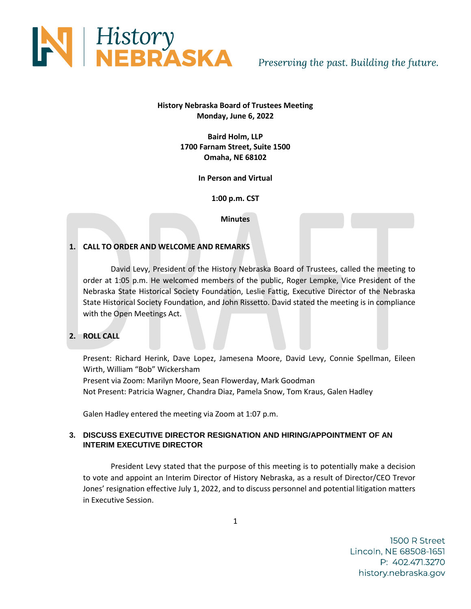

# **History Nebraska Board of Trustees Meeting Monday, June 6, 2022**

**Baird Holm, LLP 1700 Farnam Street, Suite 1500 Omaha, NE 68102**

**In Person and Virtual**

**1:00 p.m. CST**

**Minutes**

# **1. CALL TO ORDER AND WELCOME AND REMARKS**

David Levy, President of the History Nebraska Board of Trustees, called the meeting to order at 1:05 p.m. He welcomed members of the public, Roger Lempke, Vice President of the Nebraska State Historical Society Foundation, Leslie Fattig, Executive Director of the Nebraska State Historical Society Foundation, and John Rissetto. David stated the meeting is in compliance with the Open Meetings Act.

# **2. ROLL CALL**

Present: Richard Herink, Dave Lopez, Jamesena Moore, David Levy, Connie Spellman, Eileen Wirth, William "Bob" Wickersham Present via Zoom: Marilyn Moore, Sean Flowerday, Mark Goodman Not Present: Patricia Wagner, Chandra Diaz, Pamela Snow, Tom Kraus, Galen Hadley

Galen Hadley entered the meeting via Zoom at 1:07 p.m.

# **3. DISCUSS EXECUTIVE DIRECTOR RESIGNATION AND HIRING/APPOINTMENT OF AN INTERIM EXECUTIVE DIRECTOR**

President Levy stated that the purpose of this meeting is to potentially make a decision to vote and appoint an Interim Director of History Nebraska, as a result of Director/CEO Trevor Jones' resignation effective July 1, 2022, and to discuss personnel and potential litigation matters in Executive Session.

1500 R Street Lincoln, NE 68508-1651 P: 402.471.3270 history.nebraska.gov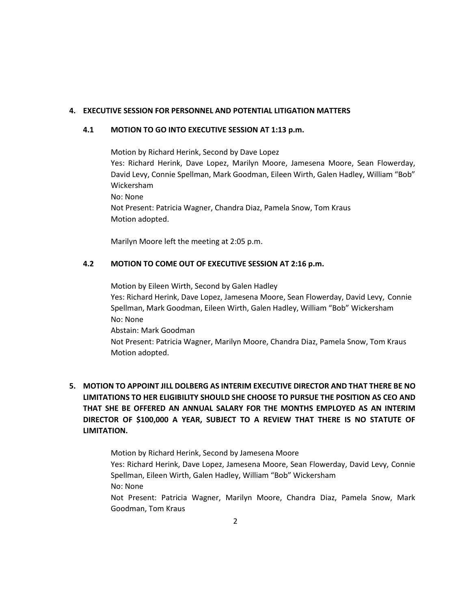#### **4. EXECUTIVE SESSION FOR PERSONNEL AND POTENTIAL LITIGATION MATTERS**

#### **4.1 MOTION TO GO INTO EXECUTIVE SESSION AT 1:13 p.m.**

Motion by Richard Herink, Second by Dave Lopez Yes: Richard Herink, Dave Lopez, Marilyn Moore, Jamesena Moore, Sean Flowerday, David Levy, Connie Spellman, Mark Goodman, Eileen Wirth, Galen Hadley, William "Bob" Wickersham No: None Not Present: Patricia Wagner, Chandra Diaz, Pamela Snow, Tom Kraus Motion adopted.

Marilyn Moore left the meeting at 2:05 p.m.

#### **4.2 MOTION TO COME OUT OF EXECUTIVE SESSION AT 2:16 p.m.**

Motion by Eileen Wirth, Second by Galen Hadley Yes: Richard Herink, Dave Lopez, Jamesena Moore, Sean Flowerday, David Levy, Connie Spellman, Mark Goodman, Eileen Wirth, Galen Hadley, William "Bob" Wickersham No: None Abstain: Mark Goodman Not Present: Patricia Wagner, Marilyn Moore, Chandra Diaz, Pamela Snow, Tom Kraus Motion adopted.

# **5. MOTION TO APPOINT JILL DOLBERG AS INTERIM EXECUTIVE DIRECTOR AND THAT THERE BE NO LIMITATIONS TO HER ELIGIBILITY SHOULD SHE CHOOSE TO PURSUE THE POSITION AS CEO AND THAT SHE BE OFFERED AN ANNUAL SALARY FOR THE MONTHS EMPLOYED AS AN INTERIM DIRECTOR OF \$100,000 A YEAR, SUBJECT TO A REVIEW THAT THERE IS NO STATUTE OF LIMITATION.**

Motion by Richard Herink, Second by Jamesena Moore Yes: Richard Herink, Dave Lopez, Jamesena Moore, Sean Flowerday, David Levy, Connie Spellman, Eileen Wirth, Galen Hadley, William "Bob" Wickersham No: None Not Present: Patricia Wagner, Marilyn Moore, Chandra Diaz, Pamela Snow, Mark Goodman, Tom Kraus